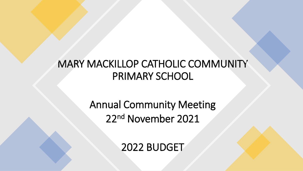# MARY MACKILLOP CATHOLIC COMMUNITY PRIMARY SCHOOL

Annual Community Meeting 22nd November 2021

2022 BUDGET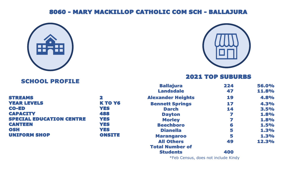# 8060 - MARY MACKILLOP CATHOLIC COM SCH - BALLAJURA



## SCHOOL PROFILE



## 2021 TOP SUBURBS

|                                 |               | <b>Ballajura</b>         | 224 | 56.0% |
|---------------------------------|---------------|--------------------------|-----|-------|
|                                 |               | <b>Landsdale</b>         | 47  | 11.8% |
| <b>STREAMS</b>                  | 2             | <b>Alexander Heights</b> | 19  | 4.8%  |
| <b>YEAR LEVELS</b>              | <b>KTO Y6</b> | <b>Bennett Springs</b>   | 17  | 4.3%  |
| <b>CO-ED</b>                    | <b>YES</b>    | <b>Darch</b>             | 14  | 3.5%  |
| <b>CAPACITY</b>                 | 488           | <b>Dayton</b>            |     | 1.8%  |
| <b>SPECIAL EDUCATION CENTRE</b> | <b>YES</b>    | <b>Morley</b>            |     | 1.8%  |
| <b>CANTEEN</b>                  | <b>YES</b>    | <b>Beechboro</b>         | 6   | 1.5%  |
| <b>OSH</b>                      | <b>YES</b>    | <b>Dianella</b>          | 5   | 1.3%  |
| <b>UNIFORM SHOP</b>             | <b>ONSITE</b> | <b>Marangaroo</b>        | 5   | 1.3%  |
|                                 |               | <b>All Others</b>        | 49  | 12.3% |
|                                 |               | <b>Total Number of</b>   |     |       |
|                                 |               | <b>Students</b>          | 400 |       |

\*Feb Census, does not include Kindy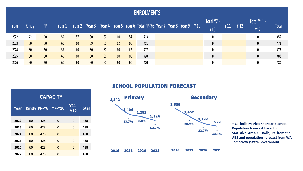## **ENROLMENTS**

| Year | <b>Kindy</b>    | <b>PP</b>       | Year 1 |    |    |    |    |                 | Year 2 Year 3 Year 4 Year 5 Year 6 Total PP-Y6 Year 7 Year 8 Year 9 Y 10 |  |  | Total Y7 -<br><b>Y10</b> | Y <sub>11</sub> | Y <sub>12</sub> | Total Y11 -<br><b>Y12</b> | Total |
|------|-----------------|-----------------|--------|----|----|----|----|-----------------|--------------------------------------------------------------------------|--|--|--------------------------|-----------------|-----------------|---------------------------|-------|
| 2022 | 42              | 60              | 59     | 57 | 60 | 62 | 60 | 54              | 413                                                                      |  |  |                          |                 |                 |                           | 455   |
| 2023 | 60 <sub>1</sub> | 50 <sup>°</sup> | 60     | 60 | 59 | 60 | 62 | 60 <sup>°</sup> | 411                                                                      |  |  |                          |                 |                 |                           | 471   |
| 2024 | 60              | 60              | 55     | 60 | 60 | 60 | 60 | 62              | 417                                                                      |  |  |                          |                 |                 |                           | 477   |
| 2025 | 60 <sup>°</sup> | 60 <sup>°</sup> | 60     | 60 | 60 | 60 | 60 | 60              | 420                                                                      |  |  |                          |                 |                 |                           | 480   |
| 2026 | 60 <sup>°</sup> | 60 <sup>°</sup> | 60     | 60 | 60 | 60 | 60 | 60              | 420                                                                      |  |  |                          |                 |                 |                           | 480   |

**SCHOOL POPULATION FORECAST** 

| <b>CAPACITY</b> |    |     |                    |                    |              |  |  |  |  |  |  |  |  |
|-----------------|----|-----|--------------------|--------------------|--------------|--|--|--|--|--|--|--|--|
| Year            |    |     | Kindy PP-Y6 Y7-Y10 | Y11-<br><b>Y12</b> | <b>Total</b> |  |  |  |  |  |  |  |  |
| 2022            | 60 | 428 | 0                  | 0                  | 488          |  |  |  |  |  |  |  |  |
| 2023            | 60 | 428 | 0                  | 0                  | 488          |  |  |  |  |  |  |  |  |
| 2024            | 60 | 428 | $\Omega$           | $\Omega$           | 488          |  |  |  |  |  |  |  |  |
| 2025            | 60 | 428 | $\Omega$           | $\Omega$           | 488          |  |  |  |  |  |  |  |  |
| 2026            | 60 | 428 | $\Omega$           | $\Omega$           | 488          |  |  |  |  |  |  |  |  |
| 2027            | 60 | 428 | O                  | O                  | 488          |  |  |  |  |  |  |  |  |



\* Catholic Market Share and School **Population Forecast based on** Statistical Area 2 - Ballajura from the ABS and population forecast from WA **Tomorrow (State Government)**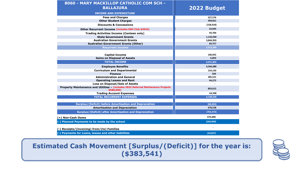| 8060 - MARY MACKILLOP CATHOLIC COM SCH -<br><b>BALLAJURA</b>                                    | 2022 Budget |
|-------------------------------------------------------------------------------------------------|-------------|
| <b>INCOME AND EXPENDITURE</b>                                                                   |             |
| <b>Fees and Charges</b>                                                                         | 527,576     |
| <b>Other Student Charges</b>                                                                    | 399,851     |
| <b>Discounts &amp; Concessions</b>                                                              | (158, 918)  |
| <b>Other Recurrent Income (includes OSH Club \$4544)</b>                                        | 24,044      |
| <b>Trading Activities Income (Canteen only)</b>                                                 | 44.700      |
| <b>State Government Grants</b>                                                                  | 1,142,030   |
| <b>Australian Government Grants</b>                                                             | 3,864,959   |
| <b>Australian Government Grants (Other)</b>                                                     | 69,757      |
| <b>Recurrent Income</b>                                                                         | 5,913,999   |
|                                                                                                 |             |
| <b>Capital Income</b>                                                                           | 100,955     |
| <b>Gains on Disposal of Assets</b>                                                              | 6,850       |
| <b>TOTAL INCOME</b>                                                                             | 6,021,804   |
| <b>Employee Benefits</b>                                                                        | 4,566,088   |
| <b>Curriculum and Departmental</b>                                                              | 154,150     |
| <b>Finance</b>                                                                                  | 594         |
| <b>Administration and General</b>                                                               | 385,521     |
| <b>Operating Leases and Rent</b>                                                                | 94,272      |
| <b>Loss on Disposal/Sale of Assets</b>                                                          |             |
| Property Maintenance and Utilities - (includes 2022 Deferred Maintenance Projects<br>\$588,000) | 843,615     |
| <b>Trading Account Expenses</b>                                                                 | 64,398      |
| <b>TOTAL RECURRENT EXPENSES</b>                                                                 | 6,108,638   |
|                                                                                                 |             |
| <b>Surplus/(Deficit) before Amortisation and Depreciation</b>                                   | (86, 834)   |
| <b>Amortisation and Depreciation</b>                                                            | 678,538     |
| <b>Surplus/(Deficit) after Amortisation and Depreciation</b>                                    | (765, 372)  |
| (+) Non-Cash Items                                                                              | 676,688     |
| (-) Planned Payments to be made by the school                                                   | (260,000)   |

**(-) Receipts/(invoicing) from/(to) Families -**

**(-) Payments for Loans, leases and other liabilities (34,857)** 

**Estimated Cash Movement [Surplus/(Deficit)] for the year is:**  $(*383,541)$ 

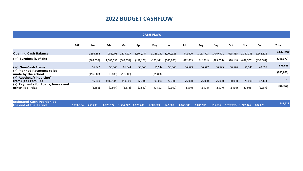## **2022 BUDGET CASHFLOW**

| <b>CASH FLOW</b>                                        |      |            |            |            |                          |            |                     |         |            |            |         |            |            |              |
|---------------------------------------------------------|------|------------|------------|------------|--------------------------|------------|---------------------|---------|------------|------------|---------|------------|------------|--------------|
|                                                         | 2021 | Jan        | Feb        | Mar        | Apr                      | May        | Jun                 | Jul     | Aug        | Sep        | Oct     | <b>Nov</b> | <b>Dec</b> | <b>Total</b> |
| <b>Opening Cash Balance</b>                             |      | 1,266,164  | 255,293    | 1,879,927  | 1,504,747                |            | 1,126,240 1,000,921 | 542,600 | 1,163,903  | 1,049,971  | 695,535 | 1,767,293  | 1,242,326  | 13,494,920   |
| (+) Surplus/(Deficit)                                   |      | (884, 558) | 2,388,098  | (568, 851) | (492, 171)               | (233, 971) | (566,966)           | 492,669 | (242, 561) | (483, 054) | 928,148 | (648, 567) | (453, 587) | (765, 372)   |
| (+) Non-Cash Items                                      |      | 56,542     | 56,545     | 61,544     | 56,545                   | 56,544     | 56,545              | 56,543  | 56,547     | 56,545     | 56,546  | 56,545     | 49,697     | 676,688      |
| (-) Planned Payments to be<br>made by the school        |      | (195,000)  | (15,000)   | (15,000)   | $\overline{\phantom{0}}$ | (35,000)   | $\sim$              |         |            |            |         |            | $\sim$     | (260,000)    |
| (-) Receipts/(invoicing)<br>from/(to) Families          |      | 15,000     | (802, 144) | 150,000    | 60,000                   | 90,000     | 55,000              | 75,000  | 75,000     | 75,000     | 90,000  | 70,000     | 47,144     |              |
| (-) Payments for Loans, leases and<br>other liabilities |      | (2,855)    | (2,864)    | (2,873)    | (2,882)                  | (2,891)    | (2,900)             | (2,909) | (2,918)    | (2,927)    | (2,936) | (2,945)    | (2,957)    | (34, 857)    |
|                                                         |      |            |            |            |                          |            |                     |         |            |            |         |            |            |              |

| <b>Estimated Cash Position at</b> |  |  |  |  |                                                                                                                           |  |  |         |
|-----------------------------------|--|--|--|--|---------------------------------------------------------------------------------------------------------------------------|--|--|---------|
| the end of the Period             |  |  |  |  | 1,266,164 255,293 1,879,927 1,504,747 1,126,240 1,000,921 542,600 1,163,903 1,049,971 695,535 1,767,293 1,242,326 882,623 |  |  | 882,623 |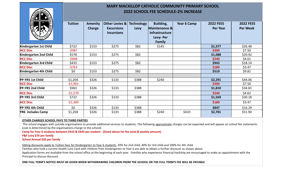

1, 0, 0, 1, 8, 177, 3, 17

## **MARY MACKILLOP CATHOLIC COMMUNITY PRIMARY SCHOOL 2022 SCHOOL FEE SCHEDULE-2% INCREASE**

|                        | <b>Tuition</b> | <b>Amenity</b><br><b>Charge</b> | Other Levies &<br><b>Excursions</b><br><b>Incursions</b> | <b>Technology</b><br>Levy | Building,<br>Maintenance &<br><b>Infrastructure</b><br>Levy-Per<br>Family | Year 6 Camp | <b>2022 FEES</b><br>Per Year | <b>2022 FEES</b><br><b>Per Week</b> |
|------------------------|----------------|---------------------------------|----------------------------------------------------------|---------------------------|---------------------------------------------------------------------------|-------------|------------------------------|-------------------------------------|
| Kindergarten 1st Child | \$722          | \$153                           | \$275                                                    | \$82                      | \$145                                                                     |             | \$1,377                      | \$26.48                             |
| <b>HCC Disc</b>        | -\$987         |                                 |                                                          |                           |                                                                           |             | \$390                        | \$7.50                              |
| Kindergarten 2nd Child | \$578          | \$153                           | \$275                                                    | \$82                      |                                                                           |             | \$1,088                      | \$20.92                             |
| <b>HCC Disc</b>        | $-5848$        |                                 |                                                          |                           |                                                                           |             | \$240                        | \$4.61                              |
| Kindergarten 3rd Child | \$433          | \$153                           | \$275                                                    | \$82                      |                                                                           |             | \$943                        | \$18.14                             |
| <b>HCC Disc</b>        | $-5763$        |                                 |                                                          |                           |                                                                           |             | \$180                        | \$3.47                              |
| Kindergarten 4th Child | \$0            | \$153                           | \$275                                                    | \$82                      |                                                                           |             | \$510                        | \$9.81                              |
|                        |                |                                 |                                                          |                           |                                                                           |             |                              |                                     |
| PP-YR5 1st Child       | \$1,204        | \$326                           | \$133                                                    | \$388                     | \$240                                                                     |             | \$2,291                      | \$44.06                             |
| <b>HCC Disc</b>        | $-51,901$      |                                 |                                                          |                           |                                                                           |             | \$390                        | \$7.50                              |
| PP-YR5 2nd Child       | \$963          | \$326                           | \$133                                                    | \$388                     |                                                                           |             | \$1,810                      | \$34.81                             |
| <b>HCC Disc</b>        | $-51,570$      |                                 |                                                          |                           |                                                                           |             | \$240                        | \$4.62                              |
| PP-YR5 3rd Child       | \$722          | \$326                           | \$133                                                    | \$388                     |                                                                           |             | \$1,569                      | \$30.18                             |
| <b>HCC Disc</b>        | $-51,389$      |                                 |                                                          |                           |                                                                           |             | \$180                        | \$3.47                              |
| PP-YR5 4th Child       | \$0            | \$326                           | \$133                                                    | \$388                     |                                                                           |             | \$847                        | \$16.29                             |
| YR6 includes Camp      | \$1,204        | \$326                           | \$133                                                    | \$388                     | \$240                                                                     | \$410       | \$2,701                      | \$51.94                             |

### **OTHER CHARGES SCHOOL PAYS TO THIRD PARTIES**

The school engages with outside organisations to provide additional services to students. The following approximate charges can be expected and will appear on school fee statements (cost is determined by the organisations charge to the school).

**Camp for Year 6 students between \$410 & \$420 per student - (listed above for fee total & weekly amount)**

#### **P&F Levy \$70 per family**

### **School Annual \$20 per family**

Sibling discounts apply to Tuition fees for Kindergarten to Year 6 students, 20% for 2nd child, 40% for 3rd child and 100% for 4th child.

Families who hold a current Health Care Card with children from Kindergarten to Year 6 are able to obtain a further discount as shown above.

Application forms are available from the school office at the beginning of each year. Families who experience financial hardship are encouraged to make an appointment with the Principal to discuss discount.

**ONE FULL TERM'S NOTICE MUST BE GIVEN WHEN WITHDRAWING CHILDREN FROM THE SCHOOL OR THE FULL TERM'S FEE WILL BE PAYABLE**